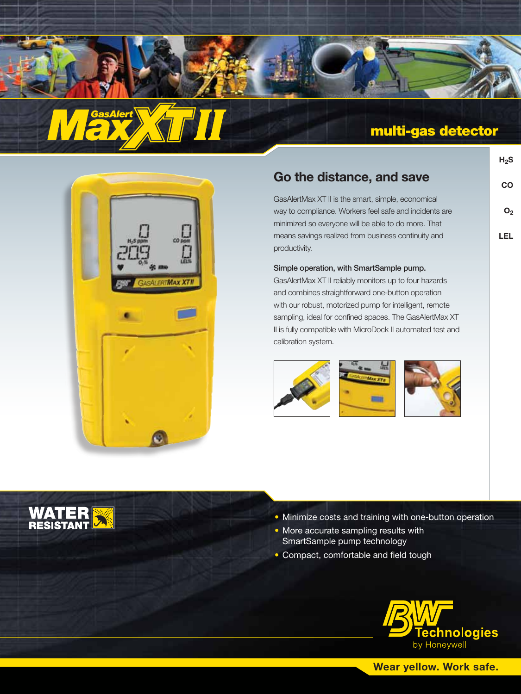



# multi-gas detector

**H2S**

**CO**

**O2**

**LEL**

| Go the distance, and save |  |
|---------------------------|--|
|---------------------------|--|

GasAlertMax XT II is the smart, simple, economical way to compliance. Workers feel safe and incidents are minimized so everyone will be able to do more. That means savings realized from business continuity and productivity.

### Simple operation, with SmartSample pump.

GasAlertMax XT II reliably monitors up to four hazards and combines straightforward one-button operation with our robust, motorized pump for intelligent, remote sampling, ideal for confined spaces. The GasAlertMax XT II is fully compatible with MicroDock II automated test and calibration system.







- Minimize costs and training with one-button operation
- More accurate sampling results with SmartSample pump technology
- Compact, comfortable and field tough



**Wear yellow. Work safe.**